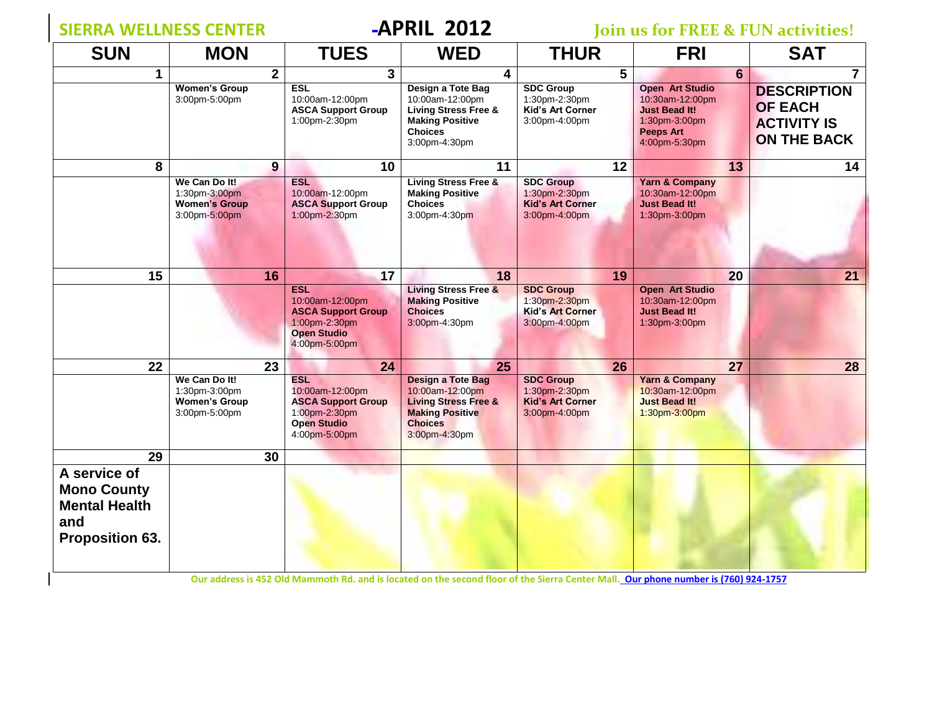$\overline{\phantom{a}}$ 

**SIERRIL 2012 Join us for FREE & FUN activities!** 

| <b>SUN</b>                                                                                  | <b>MON</b>                                                              | <b>TUES</b>                                                                                                        | <b>WED</b>                                                                                                                                  | <b>THUR</b>                                                                   | <b>FRI</b>                                                                                                              | <b>SAT</b>                                                                |
|---------------------------------------------------------------------------------------------|-------------------------------------------------------------------------|--------------------------------------------------------------------------------------------------------------------|---------------------------------------------------------------------------------------------------------------------------------------------|-------------------------------------------------------------------------------|-------------------------------------------------------------------------------------------------------------------------|---------------------------------------------------------------------------|
| 1                                                                                           | $\overline{\mathbf{2}}$                                                 | 3                                                                                                                  | 4                                                                                                                                           | 5                                                                             | $6\phantom{1}$                                                                                                          | $\overline{7}$                                                            |
|                                                                                             | <b>Women's Group</b><br>3:00pm-5:00pm                                   | <b>ESL</b><br>10:00am-12:00pm<br><b>ASCA Support Group</b><br>1:00pm-2:30pm                                        | Design a Tote Bag<br>10:00am-12:00pm<br><b>Living Stress Free &amp;</b><br><b>Making Positive</b><br><b>Choices</b><br>3:00pm-4:30pm        | <b>SDC Group</b><br>1:30pm-2:30pm<br>Kid's Art Corner<br>3:00pm-4:00pm        | <b>Open Art Studio</b><br>10:30am-12:00pm<br><b>Just Bead It!</b><br>1:30pm-3:00pm<br><b>Peeps Art</b><br>4:00pm-5:30pm | <b>DESCRIPTION</b><br><b>OF EACH</b><br><b>ACTIVITY IS</b><br>ON THE BACK |
| 8                                                                                           | $\boldsymbol{9}$                                                        | 10                                                                                                                 | 11                                                                                                                                          | 12                                                                            | 13                                                                                                                      | 14                                                                        |
|                                                                                             | We Can Do It!<br>1:30pm-3:00pm<br><b>Women's Group</b><br>3:00pm-5:00pm | <b>ESL</b><br>10:00am-12:00pm<br><b>ASCA Support Group</b><br>1:00pm-2:30pm                                        | <b>Living Stress Free &amp;</b><br><b>Making Positive</b><br><b>Choices</b><br>3:00pm-4:30pm                                                | <b>SDC Group</b><br>1:30pm-2:30pm<br><b>Kid's Art Corner</b><br>3:00pm-4:00pm | <b>Yarn &amp; Company</b><br>10:30am-12:00pm<br><b>Just Bead It!</b><br>1:30pm-3:00pm                                   |                                                                           |
| 15                                                                                          | 16                                                                      | 17                                                                                                                 | 18                                                                                                                                          | 19                                                                            | 20                                                                                                                      | 21                                                                        |
|                                                                                             |                                                                         | <b>ESL</b><br>10:00am-12:00pm<br><b>ASCA Support Group</b><br>1:00pm-2:30pm<br><b>Open Studio</b><br>4:00pm-5:00pm | <b>Living Stress Free &amp;</b><br><b>Making Positive</b><br><b>Choices</b><br>3:00pm-4:30pm                                                | <b>SDC Group</b><br>1:30pm-2:30pm<br><b>Kid's Art Corner</b><br>3:00pm-4:00pm | <b>Open Art Studio</b><br>10:30am-12:00pm<br><b>Just Bead It!</b><br>1:30pm-3:00pm                                      |                                                                           |
| 22                                                                                          | 23                                                                      | 24                                                                                                                 | 25                                                                                                                                          | 26                                                                            | 27                                                                                                                      | 28                                                                        |
|                                                                                             | We Can Do It!<br>1:30pm-3:00pm<br><b>Women's Group</b><br>3:00pm-5:00pm | <b>ESL</b><br>10:00am-12:00pm<br><b>ASCA Support Group</b><br>1:00pm-2:30pm<br><b>Open Studio</b><br>4:00pm-5:00pm | <b>Design a Tote Bag</b><br>10:00am-12:00pm<br><b>Living Stress Free &amp;</b><br><b>Making Positive</b><br><b>Choices</b><br>3:00pm-4:30pm | <b>SDC Group</b><br>1:30pm-2:30pm<br><b>Kid's Art Corner</b><br>3:00pm-4:00pm | <b>Yarn &amp; Company</b><br>10:30am-12:00pm<br><b>Just Bead It!</b><br>1:30pm-3:00pm                                   |                                                                           |
| 29                                                                                          | 30                                                                      |                                                                                                                    |                                                                                                                                             |                                                                               |                                                                                                                         |                                                                           |
| A service of<br><b>Mono County</b><br><b>Mental Health</b><br>and<br><b>Proposition 63.</b> |                                                                         |                                                                                                                    |                                                                                                                                             |                                                                               |                                                                                                                         |                                                                           |

**Our address is 452 Old Mammoth Rd. and is located on the second floor of the Sierra Center Mall. Our phone number is (760) 924-1757**